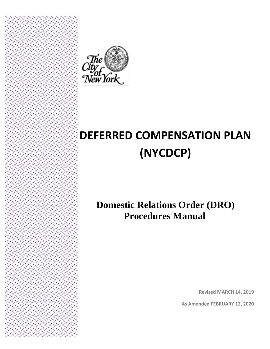

**I.**

## **DEFERRED COMPENSATION PLAN (NYCDCP)**

### **Domestic Relations Order (DRO) Procedures Manual**

**Revised MARCH 14, 2019**

**As Amended FEBRUARY 12, 2020**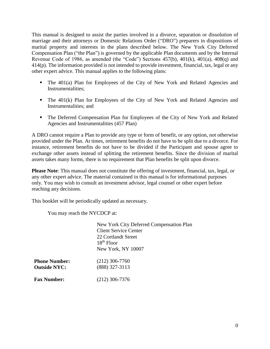This manual is designed to assist the parties involved in a divorce, separation or dissolution of marriage and their attorneys or Domestic Relations Order ("DRO") preparers in dispositions of marital property and interests in the plans described below. The New York City Deferred Compensation Plan ("the Plan") is governed by the applicable Plan documents and by the Internal Revenue Code of 1986, as amended (the "Code") Sections 457(b), 401(k), 401(a), 408(q) and 414(p). The information provided is not intended to provide investment, financial, tax, legal or any other expert advice. This manual applies to the following plans:

- The 401(a) Plan for Employees of the City of New York and Related Agencies and Instrumentalities;
- The 401(k) Plan for Employees of the City of New York and Related Agencies and Instrumentalities; and
- The Deferred Compensation Plan for Employees of the City of New York and Related Agencies and Instrumentalities (457 Plan)

A DRO cannot require a Plan to provide any type or form of benefit, or any option, not otherwise provided under the Plan. At times, retirement benefits do not have to be split due to a divorce. For instance, retirement benefits do not have to be divided if the Participant and spouse agree to exchange other assets instead of splitting the retirement benefits. Since the division of marital assets takes many forms, there is no requirement that Plan benefits be split upon divorce.

**Please Note**: This manual does not constitute the offering of investment, financial, tax, legal, or any other expert advice. The material contained in this manual is for informational purposes only. You may wish to consult an investment advisor, legal counsel or other expert before reaching any decisions.

This booklet will be periodically updated as necessary.

You may reach the NYCDCP at:

New York City Deferred Compensation Plan Client Service Center 22 Cortlandt Street 18th Floor New York, NY 10007 **Phone Number: Outside NYC:** (212) 306-7760 (888) 327-3113 **Fax Number:** (212) 306-7376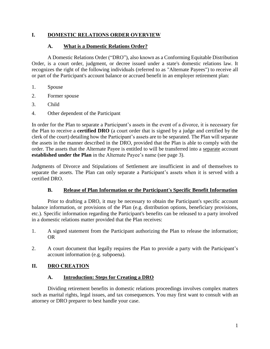#### **I. DOMESTIC RELATIONS ORDER OVERVIEW**

#### **A. What is a Domestic Relations Order?**

A Domestic Relations Order ("DRO"), also known as a Conforming Equitable Distribution Order, is a court order, judgment, or decree issued under a state's domestic relations law. It recognizes the right of the following individuals (referred to as "Alternate Payees") to receive all or part of the Participant's account balance or accrued benefit in an employer retirement plan:

- 1. Spouse
- 2. Former spouse
- 3. Child
- 4. Other dependent of the Participant

In order for the Plan to separate a Participant's assets in the event of a divorce, it is necessary for the Plan to receive a **certified DRO** (a court order that is signed by a judge and certified by the clerk of the court) detailing how the Participant's assets are to be separated. The Plan will separate the assets in the manner described in the DRO, provided that the Plan is able to comply with the order. The assets that the Alternate Payee is entitled to will be transferred into a separate account **established under the Plan** in the Alternate Payee's name (see page 3).

Judgments of Divorce and Stipulations of Settlement are insufficient in and of themselves to separate the assets. The Plan can only separate a Participant's assets when it is served with a certified DRO.

#### **B. Release of Plan Information or the Participant's Specific Benefit Information**

Prior to drafting a DRO, it may be necessary to obtain the Participant's specific account balance information, or provisions of the Plan (e.g. distribution options, beneficiary provisions, etc.). Specific information regarding the Participant's benefits can be released to a party involved in a domestic relations matter provided that the Plan receives:

- 1. A signed statement from the Participant authorizing the Plan to release the information; OR
- 2. A court document that legally requires the Plan to provide a party with the Participant's account information (e.g. subpoena).

#### **II. DRO CREATION**

#### **A. Introduction: Steps for Creating a DRO**

Dividing retirement benefits in domestic relations proceedings involves complex matters such as marital rights, legal issues, and tax consequences. You may first want to consult with an attorney or DRO preparer to best handle your case.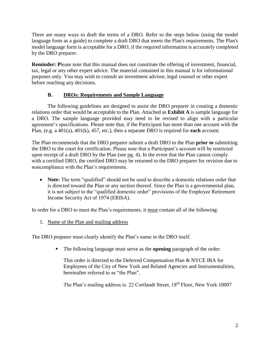There are many ways to draft the terms of a DRO. Refer to the steps below (using the model language form as a guide) to complete a draft DRO that meets the Plan's requirements. The Plan's model language form is acceptable for a DRO, if the required information is accurately completed by the DRO preparer.

**Reminder:** Please note that this manual does not constitute the offering of investment, financial, tax, legal or any other expert advice. The material contained in this manual is for informational purposes only. You may wish to consult an investment advisor, legal counsel or other expert before reaching any decisions.

#### **B. DROs: Requirements and Sample Language**

The following guidelines are designed to assist the DRO preparer in creating a domestic relations order that would be acceptable to the Plan. Attached as **Exhibit A** is sample language for a DRO. The sample language provided may need to be revised to align with a particular agreement's specifications. Please note that, if the Participant has more than one account with the Plan, (e.g. a 401(a), 401(k), 457, etc.), then a separate DRO is required for **each** account.

The Plan recommends that the DRO preparer submit a draft DRO to the Plan **prior to** submitting the DRO to the court for certification. Please note that a Participant's account will be restricted upon receipt of a draft DRO by the Plan (see pg. 4). In the event that the Plan cannot comply with a certified DRO, the certified DRO may be returned to the DRO preparer for revision due to noncompliance with the Plan's requirements.

 **Note:** The term "qualified" should not be used to describe a domestic relations order that is directed toward the Plan or any section thereof. Since the Plan is a governmental plan, it is not subject to the "qualified domestic order" provisions of the Employee Retirement Income Security Act of 1974 (ERISA).

In order for a DRO to meet the Plan's requirements, it must contain all of the following:

1. Name of the Plan and mailing address

The DRO preparer must clearly identify the Plan's name in the DRO itself.

The following language must serve as the **opening** paragraph of the order:

This order is directed to the Deferred Compensation Plan & NYCE IRA for Employees of the City of New York and Related Agencies and Instrumentalities, hereinafter referred to as "the Plan".

The Plan's mailing address is: 22 Cortlandt Street, 18th Floor, New York 10007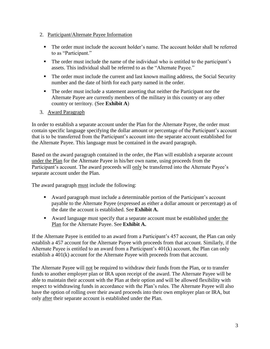- 2. Participant/Alternate Payee Information
	- The order must include the account holder's name. The account holder shall be referred to as "Participant."
	- The order must include the name of the individual who is entitled to the participant's assets. This individual shall be referred to as the "Alternate Payee."
	- The order must include the current and last known mailing address, the Social Security number and the date of birth for each party named in the order.
	- The order must include a statement asserting that neither the Participant nor the Alternate Payee are currently members of the military in this country or any other country or territory. (See **Exhibit A**)
- 3. Award Paragraph

In order to establish a separate account under the Plan for the Alternate Payee, the order must contain specific language specifying the dollar amount or percentage of the Participant's account that is to be transferred from the Participant's account into the separate account established for the Alternate Payee. This language must be contained in the award paragraph.

Based on the award paragraph contained in the order, the Plan will establish a separate account under the Plan for the Alternate Payee in his/her own name, using proceeds from the Participant's account. The award proceeds will only be transferred into the Alternate Payee's separate account under the Plan.

The award paragraph must include the following:

- Award paragraph must include a determinable portion of the Participant's account payable to the Alternate Payee (expressed as either a dollar amount or percentage) as of the date the account is established. See **Exhibit A.**
- Award language must specify that a separate account must be established under the Plan for the Alternate Payee. See **Exhibit A.**

If the Alternate Payee is entitled to an award from a Participant's 457 account, the Plan can only establish a 457 account for the Alternate Payee with proceeds from that account. Similarly, if the Alternate Payee is entitled to an award from a Participant's 401(k) account, the Plan can only establish a 401(k) account for the Alternate Payee with proceeds from that account.

The Alternate Payee will not be required to withdraw their funds from the Plan, or to transfer funds to another employer plan or IRA upon receipt of the award. The Alternate Payee will be able to maintain their account with the Plan at their option and will be allowed flexibility with respect to withdrawing funds in accordance with the Plan's rules. The Alternate Payee will also have the option of rolling over their award proceeds into their own employer plan or IRA, but only after their separate account is established under the Plan.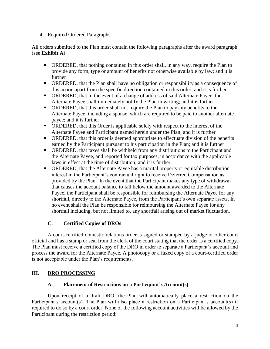#### 4. Required Ordered Paragraphs

All orders submitted to the Plan must contain the following paragraphs after the award paragraph (see **Exhibit A**):

- ORDERED, that nothing contained in this order shall, in any way, require the Plan to provide any form, type or amount of benefits not otherwise available by law; and it is further
- ORDERED, that the Plan shall have no obligation or responsibility as a consequence of this action apart from the specific direction contained in this order; and it is further
- ORDERED, that in the event of a change of address of said Alternate Payee, the Alternate Payee shall immediately notify the Plan in writing; and it is further
- ORDERED, that this order shall not require the Plan to pay any benefits to the Alternate Payee, including a spouse, which are required to be paid to another alternate payee; and it is further
- ORDERED, that this Order is applicable solely with respect to the interest of the Alternate Payee and Participant named herein under the Plan; and it is further
- ORDERED, that this order is deemed appropriate to effectuate division of the benefits earned by the Participant pursuant to his participation in the Plan; and it is further
- ORDERED, that taxes shall be withheld from any distributions to the Participant and the Alternate Payee, and reported for tax purposes, in accordance with the applicable laws in effect at the time of distribution; and it is further
- ORDERED, that the Alternate Payee has a marital property or equitable distribution interest in the Participant's contractual right to receive Deferred Compensation as provided by the Plan. In the event that the Participant makes any type of withdrawal that causes the account balance to fall below the amount awarded to the Alternate Payee, the Participant shall be responsible for reimbursing the Alternate Payee for any shortfall, directly to the Alternate Payee, from the Participant's own separate assets. In no event shall the Plan be responsible for reimbursing the Alternate Payee for any shortfall including, but not limited to, any shortfall arising out of market fluctuation.

#### **C. Certified Copies of DROs**

A court-certified domestic relations order is signed or stamped by a judge or other court official and has a stamp or seal from the clerk of the court stating that the order is a certified copy. The Plan must receive a certified copy of the DRO in order to separate a Participant's account and process the award for the Alternate Payee. A photocopy or a faxed copy of a court-certified order is not acceptable under the Plan's requirements.

#### **III. DRO PROCESSING**

#### **A. Placement of Restrictions on a Participant's Account(s)**

Upon receipt of a draft DRO, the Plan will automatically place a restriction on the Participant's account(s). The Plan will also place a restriction on a Participant's account(s) if required to do so by a court order. None of the following account activities will be allowed by the Participant during the restriction period: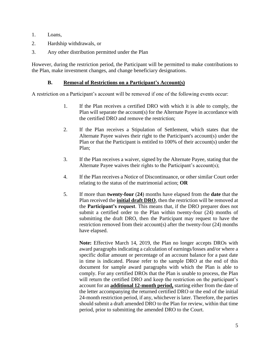- 1. Loans,
- 2. Hardship withdrawals, or
- 3. Any other distribution permitted under the Plan

However, during the restriction period, the Participant will be permitted to make contributions to the Plan, make investment changes, and change beneficiary designations.

#### **B. Removal of Restrictions on a Participant's Account(s)**

A restriction on a Participant's account will be removed if one of the following events occur:

- 1. If the Plan receives a certified DRO with which it is able to comply, the Plan will separate the account(s) for the Alternate Payee in accordance with the certified DRO and remove the restriction;
- 2. If the Plan receives a Stipulation of Settlement, which states that the Alternate Payee waives their right to the Participant's account(s) under the Plan or that the Participant is entitled to 100% of their account(s) under the Plan;
- 3. If the Plan receives a waiver, signed by the Alternate Payee, stating that the Alternate Payee waives their rights to the Participant's account(s);
- 4. If the Plan receives a Notice of Discontinuance, or other similar Court order relating to the status of the matrimonial action; **OR**
- 5. If more than **twenty-four** (**24**) months have elapsed from the **date** that the Plan received the **initial draft DRO**, then the restriction will be removed at the **Participant's request**. This means that, if the DRO preparer does not submit a certified order to the Plan within twenty-four (24) months of submitting the draft DRO, then the Participant may request to have the restriction removed from their account(s) after the twenty-four (24) months have elapsed.

**Note:** Effective March 14, 2019, the Plan no longer accepts DROs with award paragraphs indicating a calculation of earnings/losses and/or where a specific dollar amount or percentage of an account balance for a past date in time is indicated. Please refer to the sample DRO at the end of this document for sample award paragraphs with which the Plan is able to comply. For any certified DROs that the Plan is unable to process, the Plan will return the certified DRO and keep the restriction on the participant's account for an **additional 12-month period,** starting either from the date of the letter accompanying the returned certified DRO or the end of the initial 24-month restriction period, if any, whichever is later. Therefore, the parties should submit a draft amended DRO to the Plan for review, within that time period, prior to submitting the amended DRO to the Court.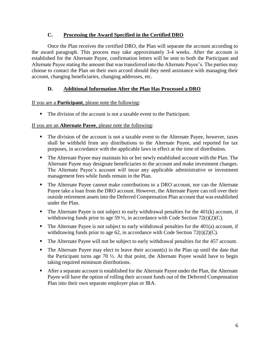#### **C. Processing the Award Specified in the Certified DRO**

Once the Plan receives the certified DRO, the Plan will separate the account according to the award paragraph. This process may take approximately 3-4 weeks. After the account is established for the Alternate Payee, confirmation letters will be sent to both the Participant and Alternate Payee stating the amount that was transferred into the Alternate Payee's. The parties may choose to contact the Plan on their own accord should they need assistance with managing their account, changing beneficiaries, changing addresses, etc.

#### **D. Additional Information After the Plan Has Processed a DRO**

If you are a **Participant**, please note the following:

The division of the account is not a taxable event to the Participant.

#### If you are an **Alternate Payee**, please note the following:

- The division of the account is not a taxable event to the Alternate Payee, however, taxes shall be withheld from any distributions to the Alternate Payee, and reported for tax purposes, in accordance with the applicable laws in effect at the time of distribution.
- The Alternate Payee may maintain his or her newly established account with the Plan. The Alternate Payee may designate beneficiaries to the account and make investment changes. The Alternate Payee's account will incur any applicable administrative or investment management fees while funds remain in the Plan.
- The Alternate Payee cannot make contributions to a DRO account, nor can the Alternate Payee take a loan from the DRO account. However, the Alternate Payee can roll over their outside retirement assets into the Deferred Compensation Plan account that was established under the Plan.
- $\blacksquare$  The Alternate Payee is not subject to early withdrawal penalties for the 401 $(k)$  account, if withdrawing funds prior to age 59  $\frac{1}{2}$ , in accordance with Code Section 72(t)(2)(C).
- The Alternate Payee is not subject to early withdrawal penalties for the  $401(a)$  account, if withdrawing funds prior to age 62, in accordance with Code Section  $72(t)(2)(C)$ .
- The Alternate Payee will not be subject to early withdrawal penalties for the 457 account.
- $\blacksquare$  The Alternate Payee may elect to leave their account(s) in the Plan up until the date that the Participant turns age  $70 \frac{1}{2}$ . At that point, the Alternate Payee would have to begin taking required minimum distributions.
- After a separate account is established for the Alternate Payee under the Plan, the Alternate Payee will have the option of rolling their account funds out of the Deferred Compensation Plan into their own separate employer plan or IRA.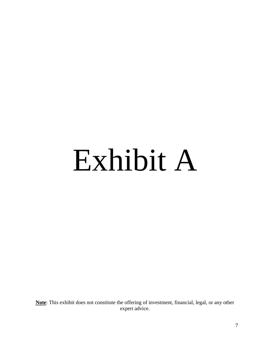# Exhibit A

**Note**: This exhibit does not constitute the offering of investment, financial, legal, or any other expert advice.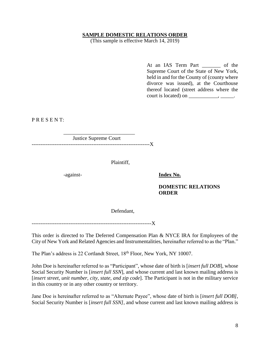#### **SAMPLE DOMESTIC RELATIONS ORDER**

(This sample is effective March 14, 2019)

At an IAS Term Part \_\_\_\_\_\_\_ of the Supreme Court of the State of New York, held in and for the County of (county where divorce was issued), at the Courthouse thereof located (street address where the court is located) on  $\_\_\_\_\_\_\$ .

P R E S E N T:

\_\_\_\_\_\_\_\_\_\_\_\_\_\_\_\_\_\_\_\_\_\_\_\_\_\_\_ Justice Supreme Court -------------------------------------------------------------------X

Plaintiff,

-against- **Index No.**

#### **DOMESTIC RELATIONS ORDER**

Defendant,

---------------------------------

This order is directed to The Deferred Compensation Plan & NYCE IRA for Employees of the City of New York and Related Agencies and Instrumentalities, hereinafter referred to as the "Plan."

The Plan's address is 22 Cortlandt Street, 18<sup>th</sup> Floor, New York, NY 10007.

John Doe is hereinafter referred to as "Participant", whose date of birth is [*insert full DOB*], whose Social Security Number is [*insert full SSN*], and whose current and last known mailing address is [*insert street, unit number, city, state, and zip code*]. The Participant is not in the military service in this country or in any other country or territory.

Jane Doe is hereinafter referred to as "Alternate Payee", whose date of birth is [*insert full DOB]*, Social Security Number is [*insert full SSN]*, and whose current and last known mailing address is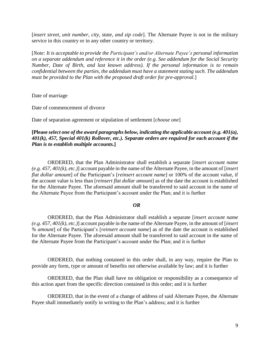[*insert street, unit number, city, state, and zip code*]. The Alternate Payee is not in the military service in this country or in any other country or territory.

[*Note: It is acceptable to provide the Participant's and/or Alternate Payee's personal information on a separate addendum and reference it in the order (e.g. See addendum for the Social Security Number, Date of Birth, and last known address). If the personal information is to remain confidential between the parties, the addendum must have a statement stating such. The addendum must be provided to the Plan with the proposed draft order for pre-approval.*]

Date of marriage

Date of commencement of divorce

Date of separation agreement or stipulation of settlement [c*hoose one*]

#### **[Please** *select one of the award paragraphs below, indicating the applicable account (e.g. 401(a), 401(k), 457, Special 401(k) Rollover, etc.). Separate orders are required for each account if the Plan is to establish multiple accounts.***]**

ORDERED, that the Plan Administrator shall establish a separate [*insert account name (e.g. 457, 401(k), etc.)*] account payable in the name of the Alternate Payee, in the amount of [*insert flat dollar amount*] of the Participant's [*reinsert account name*] or 100% of the account value, if the account value is less than [*reinsert flat dollar amount*] as of the date the account is established for the Alternate Payee. The aforesaid amount shall be transferred to said account in the name of the Alternate Payee from the Participant's account under the Plan; and it is further

#### *OR*

ORDERED, that the Plan Administrator shall establish a separate [*insert account name (e.g. 457, 401(k), etc.)*] account payable in the name of the Alternate Payee, in the amount of [*insert % amount*] of the Participant's [*reinsert account name*] as of the date the account is established for the Alternate Payee. The aforesaid amount shall be transferred to said account in the name of the Alternate Payee from the Participant's account under the Plan; and it is further

ORDERED, that nothing contained in this order shall, in any way, require the Plan to provide any form, type or amount of benefits not otherwise available by law; and it is further

ORDERED, that the Plan shall have no obligation or responsibility as a consequence of this action apart from the specific direction contained in this order; and it is further

ORDERED, that in the event of a change of address of said Alternate Payee, the Alternate Payee shall immediately notify in writing to the Plan's address; and it is further